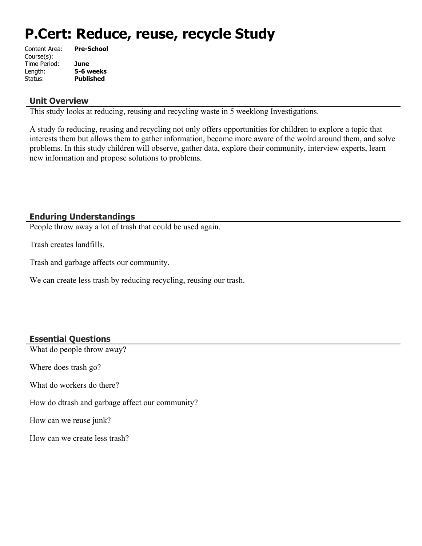# **P.Cert: Reduce, reuse, recycle Study**

| Content Area: | <b>Pre-School</b> |
|---------------|-------------------|
| Course(s):    |                   |
| Time Period:  | June              |
| Length:       | 5-6 weeks         |
| Status:       | <b>Published</b>  |
|               |                   |

#### **Unit Overview**

This study looks at reducing, reusing and recycling waste in 5 weeklong Investigations.

A study fo reducing, reusing and recycling not only offers opportunities for children to explore a topic that interests them but allows them to gather information, become more aware of the wolrd around them, and solve problems. In this study children will observe, gather data, explore their community, interview experts, learn new information and propose solutions to problems.

#### **Enduring Understandings**

People throw away a lot of trash that could be used again.

Trash creates landfills.

Trash and garbage affects our community.

We can create less trash by reducing recycling, reusing our trash.

#### **Essential Questions**

What do people throw away?

Where does trash go?

What do workers do there?

How do dtrash and garbage affect our community?

How can we reuse junk?

How can we create less trash?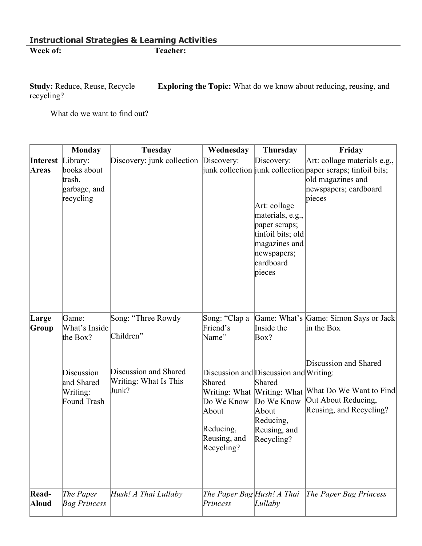**Exploring the Topic:** What do we know about reducing, reusing, and Study: Reduce, Reuse, Recycle<br>recycling?

What do we want to find out?

|                                   | Monday                                                                                    | Tuesday                                                                                    | Wednesday                                                                                                      | <b>Thursday</b>                                                                                                                             | Friday                                                                                                                                                                                   |
|-----------------------------------|-------------------------------------------------------------------------------------------|--------------------------------------------------------------------------------------------|----------------------------------------------------------------------------------------------------------------|---------------------------------------------------------------------------------------------------------------------------------------------|------------------------------------------------------------------------------------------------------------------------------------------------------------------------------------------|
| <b>Interest</b> Library:<br>Areas | books about<br>trash,<br>garbage, and<br>recycling                                        | Discovery: junk collection Discovery:                                                      |                                                                                                                | Discovery:<br>Art: collage<br>materials, e.g.,<br>paper scraps;<br>tinfoil bits; old<br>magazines and<br>newspapers;<br>cardboard<br>pieces | Art: collage materials e.g.,<br>junk collection junk collection paper scraps; tinfoil bits;<br>old magazines and<br>newspapers; cardboard<br>pieces                                      |
| Large<br>Group                    | Game:<br>What's Inside<br>the Box?<br>Discussion<br>and Shared<br>Writing:<br>Found Trash | Song: "Three Rowdy<br>Children"<br>Discussion and Shared<br>Writing: What Is This<br>Junk? | Song: "Clap a<br>Friend's<br>Name"<br>Shared<br>Do We Know<br>About<br>Reducing,<br>Reusing, and<br>Recycling? | Inside the<br>Box?<br>Discussion and Discussion and Writing:<br>Shared<br>Do We Know<br>About<br>Reducing,<br>Reusing, and<br>Recycling?    | Game: What's Game: Simon Says or Jack<br>in the Box<br>Discussion and Shared<br>Writing: What  Writing: What  What Do We Want to Find <br>Out About Reducing,<br>Reusing, and Recycling? |
| Read-<br>Aloud                    | The Paper<br><b>Bag Princess</b>                                                          | Hush! A Thai Lullaby                                                                       | The Paper Bag Hush! A Thai<br>Princess                                                                         | Lullaby                                                                                                                                     | The Paper Bag Princess                                                                                                                                                                   |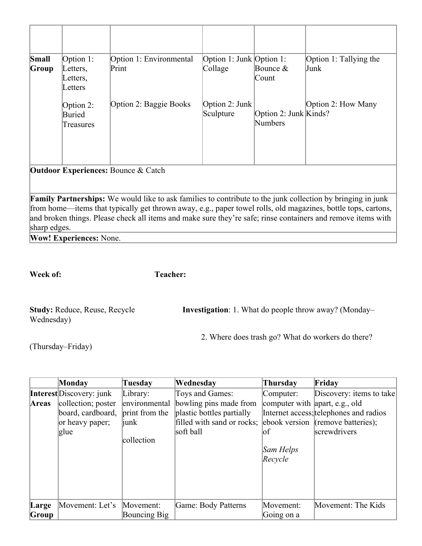| Small<br>Group                                 | Option $1$ :<br>Letters,<br>Letters,<br>Letters | Option 1: Environmental<br>Print | Option 1: Junk Option 1:<br>Collage | Bounce $&$<br>Count              | Option 1: Tallying the<br>Junk |  |
|------------------------------------------------|-------------------------------------------------|----------------------------------|-------------------------------------|----------------------------------|--------------------------------|--|
|                                                | Option 2:<br>Buried<br>Treasures                | Option 2: Baggie Books           | Option 2: Junk<br>Sculpture         | Option 2: Junk Kinds?<br>Numbers | Option 2: How Many             |  |
| <b>Outdoor Experiences: Bounce &amp; Catch</b> |                                                 |                                  |                                     |                                  |                                |  |

**Family Partnerships:** We would like to ask families to contribute to the junk collection by bringing in junk from home—items that typically get thrown away, e.g., paper towel rolls, old magazines, bottle tops, cartons, and broken things. Please check all items and make sure they're safe; rinse containers and remove items with sharp edges.

**Wow! Experiences:** None.

**Week of: Teacher:** 

| <b>Study: Reduce, Reuse, Recycle</b> | <b>Investigation</b> : 1. What do people throw away? (Monday– |  |  |
|--------------------------------------|---------------------------------------------------------------|--|--|
| Wednesday)                           |                                                               |  |  |

2. Where does trash go? What do workers do there?

(Thursday–Friday)

|       | Monday                          | Tuesday        | Wednesday                  | Thursday                       | Friday                                 |
|-------|---------------------------------|----------------|----------------------------|--------------------------------|----------------------------------------|
|       | <b>Interest</b> Discovery: junk | Library:       | Toys and Games:            | Computer:                      | Discovery: items to take               |
| Areas | collection; poster              | environmental  | bowling pins made from     | computer with apart, e.g., old |                                        |
|       | board, cardboard,               | print from the | plastic bottles partially  |                                | Internet access; telephones and radios |
|       | or heavy paper;                 | <i>iunk</i>    | filled with sand or rocks; |                                | ebook version (remove batteries);      |
|       | glue                            |                | soft ball                  | lof                            | screwdrivers                           |
|       |                                 | collection     |                            |                                |                                        |
|       |                                 |                |                            | Sam Helps                      |                                        |
|       |                                 |                |                            | Recycle                        |                                        |
|       |                                 |                |                            |                                |                                        |
|       |                                 |                |                            |                                |                                        |
|       |                                 |                |                            |                                |                                        |
|       |                                 |                |                            |                                |                                        |
| Large | Movement: Let's                 | Movement:      | Game: Body Patterns        | Movement:                      | Movement: The Kids                     |
| Group |                                 | Bouncing Big   |                            | Going on a                     |                                        |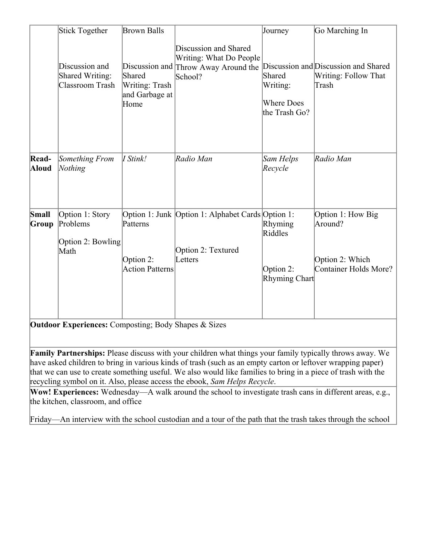|                       | Stick Together                                              | <b>Brown Balls</b>                                 |                                                                                                     | Journey                                                  | Go Marching In                                                           |
|-----------------------|-------------------------------------------------------------|----------------------------------------------------|-----------------------------------------------------------------------------------------------------|----------------------------------------------------------|--------------------------------------------------------------------------|
|                       | Discussion and<br>Shared Writing:<br><b>Classroom Trash</b> | Shared<br>Writing: Trash<br>and Garbage at<br>Home | Discussion and Shared<br>Writing: What Do People<br>Discussion and Throw Away Around the<br>School? | Shared<br>Writing:<br><b>Where Does</b><br>the Trash Go? | Discussion and Discussion and Shared<br>Writing: Follow That<br>Trash    |
| Read-<br><b>Aloud</b> | Something From<br>Nothing                                   | I Stink!                                           | Radio Man                                                                                           | Sam Helps<br>Recycle                                     | Radio Man                                                                |
| Small<br>Group        | Option 1: Story<br>Problems<br>Option 2: Bowling<br>Math    | Patterns<br>Option 2:<br><b>Action Patterns</b>    | Option 1: Junk Option 1: Alphabet Cards Option 1:<br>Option 2: Textured<br>Letters                  | Rhyming<br>Riddles<br>Option 2:<br>Rhyming Chart         | Option 1: How Big<br>Around?<br>Option 2: Which<br>Container Holds More? |

**Outdoor Experiences:** Composting; Body Shapes & Sizes

**Family Partnerships:** Please discuss with your children what things your family typically throws away. We have asked children to bring in various kinds of trash (such as an empty carton or leftover wrapping paper) that we can use to create something useful. We also would like families to bring in a piece of trash with the recycling symbol on it. Also, please access the ebook, *Sam Helps Recycle*.

**Wow! Experiences:** Wednesday—A walk around the school to investigate trash cans in different areas, e.g., the kitchen, classroom, and office

Friday—An interview with the school custodian and a tour of the path that the trash takes through the school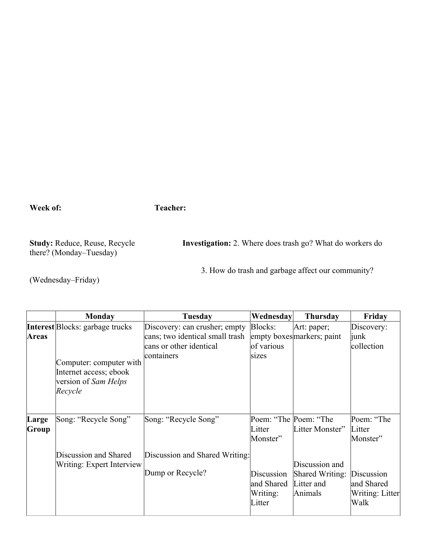**Week of: Teacher:** 

there? (Monday–Tuesday)

**Study:** Reduce, Reuse, Recycle **Investigation:** 2. Where does trash go? What do workers do

3. How do trash and garbage affect our community?

(Wednesday–Friday)

|                | <b>Monday</b>                                                                        | <b>Tuesday</b>                                                           | Wednesday                                      | <b>Thursday</b>                                            | Friday                                              |
|----------------|--------------------------------------------------------------------------------------|--------------------------------------------------------------------------|------------------------------------------------|------------------------------------------------------------|-----------------------------------------------------|
|                | <b>Interest</b> Blocks: garbage trucks                                               | Discovery: can crusher; empty                                            | Blocks:                                        | Art: paper;                                                | Discovery:                                          |
| Areas          | Computer: computer with<br>Internet access; ebook<br>version of Sam Helps<br>Recycle | cans; two identical small trash<br>cans or other identical<br>containers | of various<br>sizes                            | empty boxes markers; paint                                 | <i>junk</i><br>collection                           |
| Large<br>Group | Song: "Recycle Song"                                                                 | Song: "Recycle Song"                                                     | Poem: "The Poem: "The<br>Litter<br>Monster"    | Litter Monster"                                            | Poem: "The<br>Litter<br>Monster"                    |
|                | Discussion and Shared<br>Writing: Expert Interview                                   | Discussion and Shared Writing:<br>Dump or Recycle?                       | Discussion<br>and Shared<br>Writing:<br>Litter | Discussion and<br>Shared Writing:<br>Litter and<br>Animals | Discussion<br>and Shared<br>Writing: Litter<br>Walk |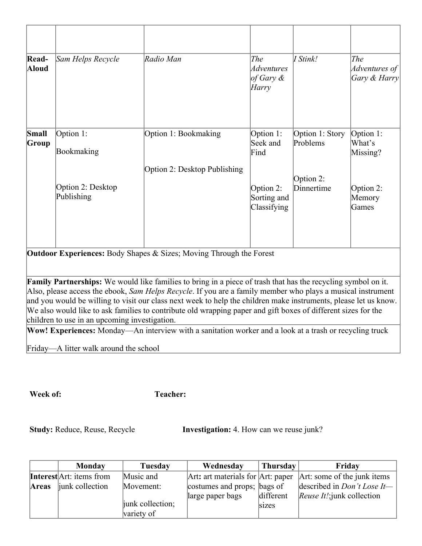| Read-<br><b>Aloud</b> | Sam Helps Recycle               | Radio Man                    | The<br>Adventures<br>of Gary $\&$<br>Harry | I Stink!                    | The<br>Adventures of $ $<br>Gary & Harry |
|-----------------------|---------------------------------|------------------------------|--------------------------------------------|-----------------------------|------------------------------------------|
| Small<br>Group        | Option 1:<br>Bookmaking         | Option 1: Bookmaking         | Option 1:<br>Seek and<br>Find              | Option 1: Story<br>Problems | Option 1:<br>What's<br>Missing?          |
|                       | Option 2: Desktop<br>Publishing | Option 2: Desktop Publishing | Option 2:<br>Sorting and<br>Classifying    | Option 2:<br>Dinnertime     | Option 2:<br>Memory<br>Games             |

**Outdoor Experiences:** Body Shapes & Sizes; Moving Through the Forest

**Family Partnerships:** We would like families to bring in a piece of trash that has the recycling symbol on it. Also, please access the ebook, *Sam Helps Recycle*. If you are a family member who plays a musical instrument and you would be willing to visit our class next week to help the children make instruments, please let us know. We also would like to ask families to contribute old wrapping paper and gift boxes of different sizes for the children to use in an upcoming investigation.

**Wow! Experiences:** Monday—An interview with a sanitation worker and a look at a trash or recycling truck

Friday—A litter walk around the school

**Week of: Teacher:** 

**Study:** Reduce, Reuse, Recycle **Investigation:** 4. How can we reuse junk?

|              | Monday                          | Tuesday          | Wednesday                   | Thursday  | Friday                                                            |
|--------------|---------------------------------|------------------|-----------------------------|-----------|-------------------------------------------------------------------|
|              | <b>Interest</b> Art: items from | Music and        |                             |           | Art: art materials for $Art:$ paper $Art:$ some of the junk items |
| <b>Areas</b> | junk collection                 | Movement:        | costumes and props; bags of |           | described in <i>Don't Lose It</i> —                               |
|              |                                 |                  | large paper bags            | different | <i>Reuse It!</i> ; junk collection                                |
|              |                                 | junk collection; |                             | sizes     |                                                                   |
|              |                                 | variety of       |                             |           |                                                                   |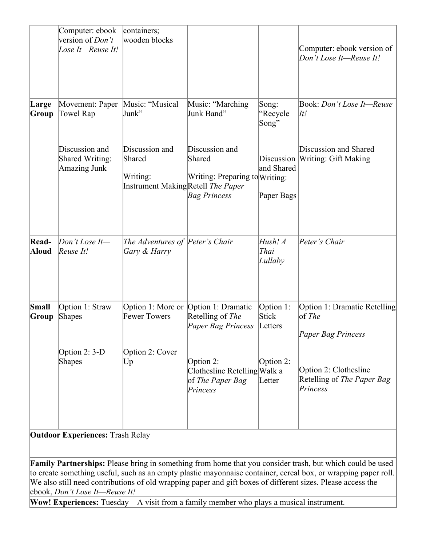| Computer: ebook<br>version of <i>Don't</i><br>Lose It-Reuse It! | containers;<br>wooden blocks             |                                                              |                                                                      | Computer: ebook version of<br>Don't Lose It-Reuse It!                                            |
|-----------------------------------------------------------------|------------------------------------------|--------------------------------------------------------------|----------------------------------------------------------------------|--------------------------------------------------------------------------------------------------|
| Movement: Paper<br>Towel Rap                                    | Music: "Musical<br>Junk"                 | Music: "Marching<br>Junk Band"                               | Song:<br>"Recycle<br>Song"                                           | Book: Don't Lose It-Reuse<br>$\vert \mathcal{I}t \vert$                                          |
| Discussion and<br><b>Shared Writing:</b><br><b>Amazing Junk</b> | Discussion and<br>Shared<br>Writing:     | Discussion and<br>Shared<br><b>Bag Princess</b>              | Discussion<br>and Shared<br>Paper Bags                               | Discussion and Shared<br><b>Writing: Gift Making</b>                                             |
| Don't Lose It-<br>Reuse It!                                     | Gary & Harry                             |                                                              | Hush! A<br>Thai<br>Lullaby                                           | Peter's Chair                                                                                    |
| Option 1: Straw<br>Shapes                                       | Option 1: More or<br><b>Fewer Towers</b> | Option 1: Dramatic<br>Retelling of The<br>Paper Bag Princess | Option 1:<br>Stick                                                   | Option 1: Dramatic Retelling<br>$\log The$<br>Paper Bag Princess                                 |
| Option $2: 3-D$<br>Shapes                                       | Option 2: Cover<br> Up                   | Option 2:<br>of The Paper Bag<br>Princess                    |                                                                      | Option 2: Clothesline<br>Retelling of The Paper Bag<br>Princess                                  |
|                                                                 |                                          |                                                              | Instrument MakingRetell The Paper<br>The Adventures of Peter's Chair | Writing: Preparing to Writing:<br>Letters<br>Option 2:<br>Clothesline Retelling Walk a<br>Letter |

**Outdoor Experiences:** Trash Relay

**Family Partnerships:** Please bring in something from home that you consider trash, but which could be used to create something useful, such as an empty plastic mayonnaise container, cereal box, or wrapping paper roll. We also still need contributions of old wrapping paper and gift boxes of different sizes. Please access the ebook, *Don't Lose It—Reuse It!*

**Wow! Experiences:** Tuesday—A visit from a family member who plays a musical instrument.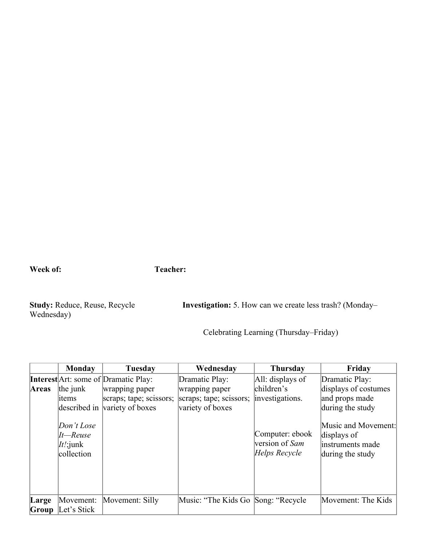**Week of: Teacher:** 

Wednesday)

**Study:** Reduce, Reuse, Recycle **Investigation:** 5. How can we create less trash? (Monday–

Celebrating Learning (Thursday–Friday)

|       | <b>Monday</b>                                          | Tuesday                                     | Wednesday                           | <b>Thursday</b>                                    | Friday                                                                      |
|-------|--------------------------------------------------------|---------------------------------------------|-------------------------------------|----------------------------------------------------|-----------------------------------------------------------------------------|
|       |                                                        | <b>Interest</b> Art: some of Dramatic Play: | Dramatic Play:                      | All: displays of                                   | Dramatic Play:                                                              |
| Areas | the junk                                               | wrapping paper                              | wrapping paper                      | children's                                         | displays of costumes                                                        |
|       | items                                                  | scraps; tape; scissors;                     | scraps; tape; scissors;             | investigations.                                    | and props made                                                              |
|       |                                                        | described in variety of boxes               | variety of boxes                    |                                                    | during the study                                                            |
|       | Don't Lose<br>$It$ -Reuse<br>$It$ : junk<br>collection |                                             |                                     | Computer: ebook<br>version of Sam<br>Helps Recycle | Music and Movement:<br>displays of<br>linstruments made<br>during the study |
| Large | Movement:                                              | Movement: Silly                             | Music: "The Kids Go Song: "Recycle" |                                                    | Movement: The Kids                                                          |
| Group | Let's Stick                                            |                                             |                                     |                                                    |                                                                             |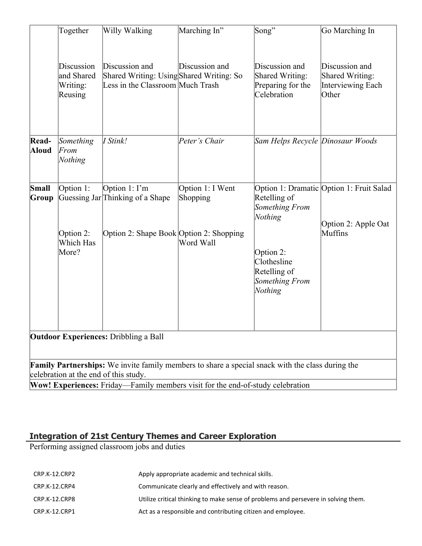|                                                                                                                                                  | Together                                        | Willy Walking                                                                                       | Marching In"                              | Song"                                                                                                              | Go Marching In                                                                |  |  |
|--------------------------------------------------------------------------------------------------------------------------------------------------|-------------------------------------------------|-----------------------------------------------------------------------------------------------------|-------------------------------------------|--------------------------------------------------------------------------------------------------------------------|-------------------------------------------------------------------------------|--|--|
|                                                                                                                                                  | Discussion<br>and Shared<br>Writing:<br>Reusing | Discussion and<br>Shared Writing: Using Shared Writing: So<br>Less in the Classroom Much Trash      | Discussion and                            | Discussion and<br>Shared Writing:<br>Preparing for the<br>Celebration                                              | Discussion and<br><b>Shared Writing:</b><br><b>Interviewing Each</b><br>Other |  |  |
| Read-<br>Aloud                                                                                                                                   | Something<br>From<br>Nothing                    | I Stink!                                                                                            | Peter's Chair                             | Sam Helps Recycle Dinosaur Woods                                                                                   |                                                                               |  |  |
| Small<br>Group                                                                                                                                   | Option 1:<br>Option 2:<br>Which Has<br>More?    | Option $1: \Gamma$ m<br>Guessing Jar Thinking of a Shape<br>Option 2: Shape Book Option 2: Shopping | Option 1: I Went<br>Shopping<br>Word Wall | Retelling of<br>Something From<br>Nothing<br>Option 2:<br>Clothesline<br>Retelling of<br>Something From<br>Nothing | Option 1: Dramatic Option 1: Fruit Salad<br>Option 2: Apple Oat<br>Muffins    |  |  |
| <b>Outdoor Experiences: Dribbling a Ball</b>                                                                                                     |                                                 |                                                                                                     |                                           |                                                                                                                    |                                                                               |  |  |
| <b>Family Partnerships:</b> We invite family members to share a special snack with the class during the<br>celebration at the end of this study. |                                                 |                                                                                                     |                                           |                                                                                                                    |                                                                               |  |  |
|                                                                                                                                                  |                                                 | Wow! Experiences: Friday-Family members visit for the end-of-study celebration                      |                                           |                                                                                                                    |                                                                               |  |  |

#### **Integration of 21st Century Themes and Career Exploration**

Performing assigned classroom jobs and duties

| CRP.K-12.CRP2 | Apply appropriate academic and technical skills.                                   |
|---------------|------------------------------------------------------------------------------------|
| CRP.K-12.CRP4 | Communicate clearly and effectively and with reason.                               |
| CRP.K-12.CRP8 | Utilize critical thinking to make sense of problems and persevere in solving them. |
| CRP.K-12.CRP1 | Act as a responsible and contributing citizen and employee.                        |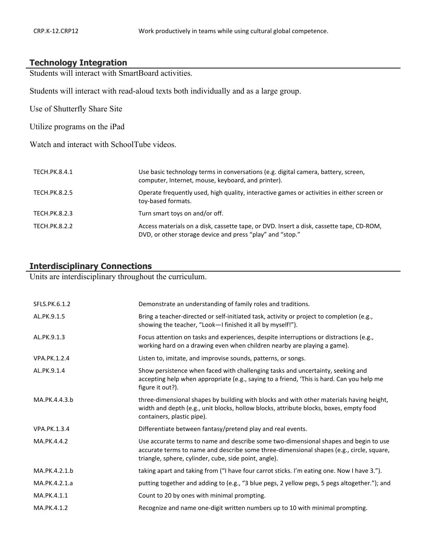## **Technology Integration**

Students will interact with SmartBoard activities.

Students will interact with read-aloud texts both individually and as a large group.

Use of Shutterfly Share Site

Utilize programs on the iPad

Watch and interact with SchoolTube videos.

| TECH.PK.8.4.1        | Use basic technology terms in conversations (e.g. digital camera, battery, screen,<br>computer, Internet, mouse, keyboard, and printer).              |
|----------------------|-------------------------------------------------------------------------------------------------------------------------------------------------------|
| TECH.PK.8.2.5        | Operate frequently used, high quality, interactive games or activities in either screen or<br>toy-based formats.                                      |
| TECH.PK.8.2.3        | Turn smart toys on and/or off.                                                                                                                        |
| <b>TECH.PK.8.2.2</b> | Access materials on a disk, cassette tape, or DVD. Insert a disk, cassette tape, CD-ROM,<br>DVD, or other storage device and press "play" and "stop." |

#### **Interdisciplinary Connections**

Units are interdisciplinary throughout the curriculum.

| SFLS.PK.6.1.2       | Demonstrate an understanding of family roles and traditions.                                                                                                                                                                              |
|---------------------|-------------------------------------------------------------------------------------------------------------------------------------------------------------------------------------------------------------------------------------------|
| AL.PK.9.1.5         | Bring a teacher-directed or self-initiated task, activity or project to completion (e.g.,<br>showing the teacher, "Look-I finished it all by myself!").                                                                                   |
| AL.PK.9.1.3         | Focus attention on tasks and experiences, despite interruptions or distractions (e.g.,<br>working hard on a drawing even when children nearby are playing a game).                                                                        |
| <b>VPA.PK.1.2.4</b> | Listen to, imitate, and improvise sounds, patterns, or songs.                                                                                                                                                                             |
| AL.PK.9.1.4         | Show persistence when faced with challenging tasks and uncertainty, seeking and<br>accepting help when appropriate (e.g., saying to a friend, 'This is hard. Can you help me<br>figure it out?).                                          |
| MA.PK.4.4.3.b       | three-dimensional shapes by building with blocks and with other materials having height,<br>width and depth (e.g., unit blocks, hollow blocks, attribute blocks, boxes, empty food<br>containers, plastic pipe).                          |
| <b>VPA.PK.1.3.4</b> | Differentiate between fantasy/pretend play and real events.                                                                                                                                                                               |
| MA.PK.4.4.2         | Use accurate terms to name and describe some two-dimensional shapes and begin to use<br>accurate terms to name and describe some three-dimensional shapes (e.g., circle, square,<br>triangle, sphere, cylinder, cube, side point, angle). |
| MA.PK.4.2.1.b       | taking apart and taking from ("I have four carrot sticks. I'm eating one. Now I have 3.").                                                                                                                                                |
| MA.PK.4.2.1.a       | putting together and adding to (e.g., "3 blue pegs, 2 yellow pegs, 5 pegs altogether."); and                                                                                                                                              |
| MA.PK.4.1.1         | Count to 20 by ones with minimal prompting.                                                                                                                                                                                               |
| MA.PK.4.1.2         | Recognize and name one-digit written numbers up to 10 with minimal prompting.                                                                                                                                                             |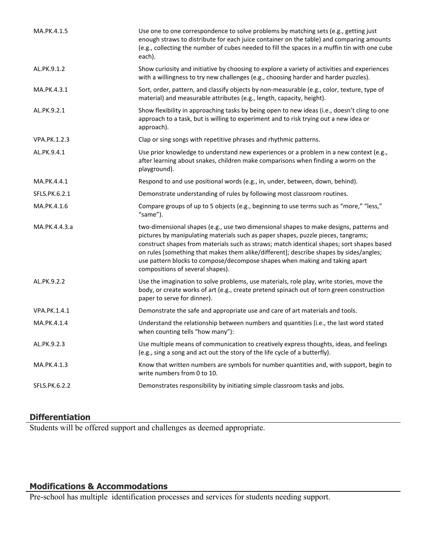| MA.PK.4.1.5   | Use one to one correspondence to solve problems by matching sets (e.g., getting just<br>enough straws to distribute for each juice container on the table) and comparing amounts<br>(e.g., collecting the number of cubes needed to fill the spaces in a muffin tin with one cube<br>each).                                                                                                                                                                                           |
|---------------|---------------------------------------------------------------------------------------------------------------------------------------------------------------------------------------------------------------------------------------------------------------------------------------------------------------------------------------------------------------------------------------------------------------------------------------------------------------------------------------|
| AL.PK.9.1.2   | Show curiosity and initiative by choosing to explore a variety of activities and experiences<br>with a willingness to try new challenges (e.g., choosing harder and harder puzzles).                                                                                                                                                                                                                                                                                                  |
| MA.PK.4.3.1   | Sort, order, pattern, and classify objects by non-measurable (e.g., color, texture, type of<br>material) and measurable attributes (e.g., length, capacity, height).                                                                                                                                                                                                                                                                                                                  |
| AL.PK.9.2.1   | Show flexibility in approaching tasks by being open to new ideas (i.e., doesn't cling to one<br>approach to a task, but is willing to experiment and to risk trying out a new idea or<br>approach).                                                                                                                                                                                                                                                                                   |
| VPA.PK.1.2.3  | Clap or sing songs with repetitive phrases and rhythmic patterns.                                                                                                                                                                                                                                                                                                                                                                                                                     |
| AL.PK.9.4.1   | Use prior knowledge to understand new experiences or a problem in a new context (e.g.,<br>after learning about snakes, children make comparisons when finding a worm on the<br>playground).                                                                                                                                                                                                                                                                                           |
| MA.PK.4.4.1   | Respond to and use positional words (e.g., in, under, between, down, behind).                                                                                                                                                                                                                                                                                                                                                                                                         |
| SFLS.PK.6.2.1 | Demonstrate understanding of rules by following most classroom routines.                                                                                                                                                                                                                                                                                                                                                                                                              |
| MA.PK.4.1.6   | Compare groups of up to 5 objects (e.g., beginning to use terms such as "more," "less,"<br>"same").                                                                                                                                                                                                                                                                                                                                                                                   |
| MA.PK.4.4.3.a | two-dimensional shapes (e.g., use two dimensional shapes to make designs, patterns and<br>pictures by manipulating materials such as paper shapes, puzzle pieces, tangrams;<br>construct shapes from materials such as straws; match identical shapes; sort shapes based<br>on rules [something that makes them alike/different]; describe shapes by sides/angles;<br>use pattern blocks to compose/decompose shapes when making and taking apart<br>compositions of several shapes). |
| AL.PK.9.2.2   | Use the imagination to solve problems, use materials, role play, write stories, move the<br>body, or create works of art (e.g., create pretend spinach out of torn green construction<br>paper to serve for dinner).                                                                                                                                                                                                                                                                  |
| VPA.PK.1.4.1  | Demonstrate the safe and appropriate use and care of art materials and tools.                                                                                                                                                                                                                                                                                                                                                                                                         |
| MA.PK.4.1.4   | Understand the relationship between numbers and quantities (i.e., the last word stated<br>when counting tells "how many"):                                                                                                                                                                                                                                                                                                                                                            |
| AL.PK.9.2.3   | Use multiple means of communication to creatively express thoughts, ideas, and feelings<br>(e.g., sing a song and act out the story of the life cycle of a butterfly).                                                                                                                                                                                                                                                                                                                |
| MA.PK.4.1.3   | Know that written numbers are symbols for number quantities and, with support, begin to<br>write numbers from 0 to 10.                                                                                                                                                                                                                                                                                                                                                                |
| SFLS.PK.6.2.2 | Demonstrates responsibility by initiating simple classroom tasks and jobs.                                                                                                                                                                                                                                                                                                                                                                                                            |

## **Differentiation**

Students will be offered support and challenges as deemed appropriate.

#### **Modifications & Accommodations**

Pre-school has multiple identification processes and services for students needing support.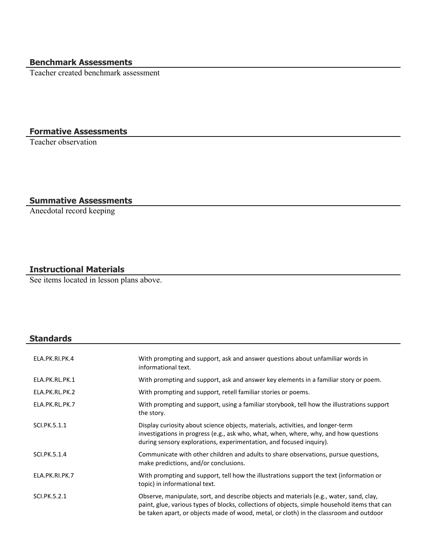## **Benchmark Assessments**

Teacher created benchmark assessment

### **Formative Assessments**

Teacher observation

## **Summative Assessments**

Anecdotal record keeping

#### **Instructional Materials**

See items located in lesson plans above.

## **Standards**

| ELA.PK.RI.PK.4 | With prompting and support, ask and answer questions about unfamiliar words in<br>informational text.                                                                                                                                                                              |
|----------------|------------------------------------------------------------------------------------------------------------------------------------------------------------------------------------------------------------------------------------------------------------------------------------|
| ELA.PK.RL.PK.1 | With prompting and support, ask and answer key elements in a familiar story or poem.                                                                                                                                                                                               |
| ELA.PK.RL.PK.2 | With prompting and support, retell familiar stories or poems.                                                                                                                                                                                                                      |
| ELA.PK.RL.PK.7 | With prompting and support, using a familiar storybook, tell how the illustrations support<br>the story.                                                                                                                                                                           |
| SCI.PK.5.1.1   | Display curiosity about science objects, materials, activities, and longer-term<br>investigations in progress (e.g., ask who, what, when, where, why, and how questions<br>during sensory explorations, experimentation, and focused inquiry).                                     |
| SCI.PK.5.1.4   | Communicate with other children and adults to share observations, pursue questions,<br>make predictions, and/or conclusions.                                                                                                                                                       |
| ELA.PK.RI.PK.7 | With prompting and support, tell how the illustrations support the text (information or<br>topic) in informational text.                                                                                                                                                           |
| SCI.PK.5.2.1   | Observe, manipulate, sort, and describe objects and materials (e.g., water, sand, clay,<br>paint, glue, various types of blocks, collections of objects, simple household items that can<br>be taken apart, or objects made of wood, metal, or cloth) in the classroom and outdoor |